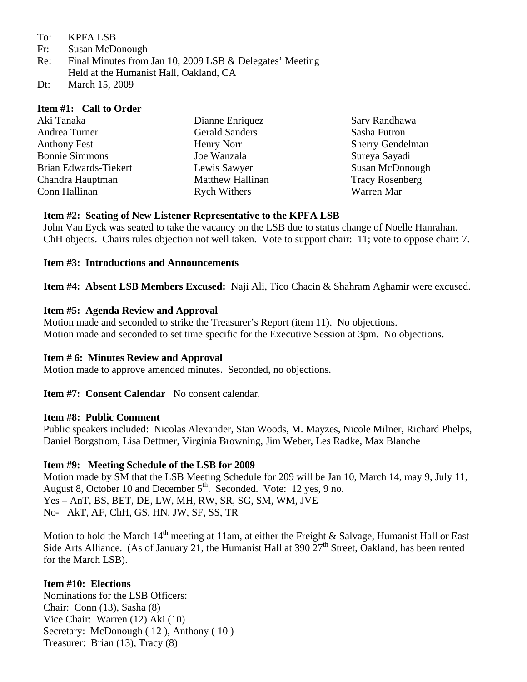- To: KPFA LSB
- Fr: Susan McDonough
- Re: Final Minutes from Jan 10, 2009 LSB & Delegates' Meeting Held at the Humanist Hall, Oakland, CA
- Dt: March 15, 2009

#### **Item #1: Call to Order**

| Aki Tanaka            | Dianne Enriquez         | Sarv Randhawa           |
|-----------------------|-------------------------|-------------------------|
| Andrea Turner         | <b>Gerald Sanders</b>   | Sasha Futron            |
| <b>Anthony Fest</b>   | Henry Norr              | <b>Sherry Gendelman</b> |
| <b>Bonnie Simmons</b> | Joe Wanzala             | Sureya Sayadi           |
| Brian Edwards-Tiekert | Lewis Sawyer            | Susan McDonough         |
| Chandra Hauptman      | <b>Matthew Hallinan</b> | <b>Tracy Rosenberg</b>  |
| Conn Hallinan         | <b>Rych Withers</b>     | Warren Mar              |

### **Item #2: Seating of New Listener Representative to the KPFA LSB**

John Van Eyck was seated to take the vacancy on the LSB due to status change of Noelle Hanrahan. ChH objects. Chairs rules objection not well taken. Vote to support chair: 11; vote to oppose chair: 7.

### **Item #3: Introductions and Announcements**

**Item #4: Absent LSB Members Excused:** Naji Ali, Tico Chacin & Shahram Aghamir were excused.

### **Item #5: Agenda Review and Approval**

Motion made and seconded to strike the Treasurer's Report (item 11). No objections. Motion made and seconded to set time specific for the Executive Session at 3pm. No objections.

## **Item # 6: Minutes Review and Approval**

Motion made to approve amended minutes. Seconded, no objections.

**Item #7: Consent Calendar** No consent calendar.

#### **Item #8: Public Comment**

Public speakers included: Nicolas Alexander, Stan Woods, M. Mayzes, Nicole Milner, Richard Phelps, Daniel Borgstrom, Lisa Dettmer, Virginia Browning, Jim Weber, Les Radke, Max Blanche

## **Item #9: Meeting Schedule of the LSB for 2009**

Motion made by SM that the LSB Meeting Schedule for 209 will be Jan 10, March 14, may 9, July 11, August 8, October 10 and December  $5<sup>th</sup>$ . Seconded. Vote: 12 yes, 9 no. Yes – AnT, BS, BET, DE, LW, MH, RW, SR, SG, SM, WM, JVE No- AkT, AF, ChH, GS, HN, JW, SF, SS, TR

Motion to hold the March  $14<sup>th</sup>$  meeting at 11am, at either the Freight & Salvage, Humanist Hall or East Side Arts Alliance. (As of January 21, the Humanist Hall at 390  $27<sup>th</sup>$  Street, Oakland, has been rented for the March LSB).

## **Item #10: Elections**

Nominations for the LSB Officers: Chair: Conn (13), Sasha (8) Vice Chair: Warren (12) Aki (10) Secretary: McDonough (12), Anthony (10) Treasurer: Brian (13), Tracy (8)